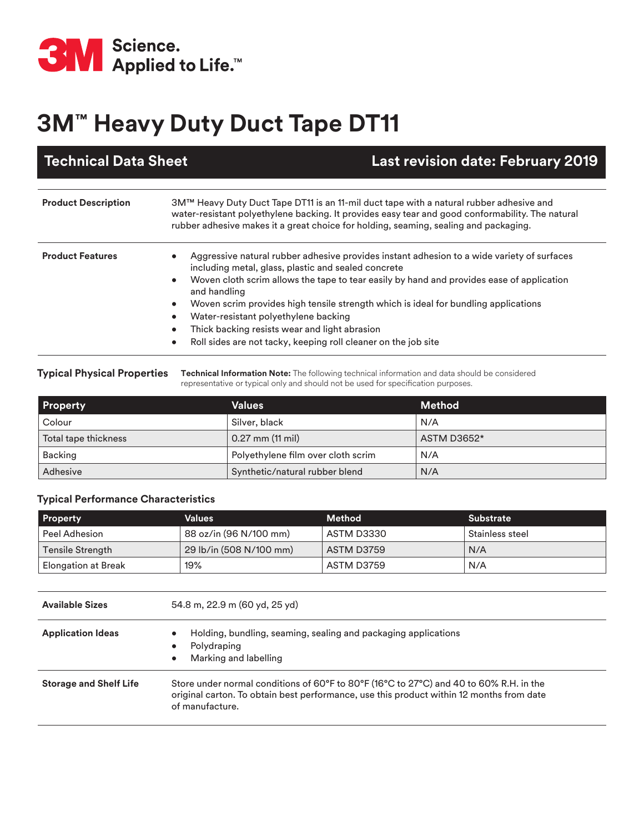

## **3M™ Heavy Duty Duct Tape DT11**

| <b>Technical Data Sheet</b> | <b>Last revision date: February 2019</b>                                                                                                                                                                                                                                                                                                                                                                                                                                                                         |
|-----------------------------|------------------------------------------------------------------------------------------------------------------------------------------------------------------------------------------------------------------------------------------------------------------------------------------------------------------------------------------------------------------------------------------------------------------------------------------------------------------------------------------------------------------|
| <b>Product Description</b>  | 3M™ Heavy Duty Duct Tape DT11 is an 11-mil duct tape with a natural rubber adhesive and<br>water-resistant polyethylene backing. It provides easy tear and good conformability. The natural<br>rubber adhesive makes it a great choice for holding, seaming, sealing and packaging.                                                                                                                                                                                                                              |
| <b>Product Features</b>     | Aggressive natural rubber adhesive provides instant adhesion to a wide variety of surfaces<br>including metal, glass, plastic and sealed concrete<br>Woven cloth scrim allows the tape to tear easily by hand and provides ease of application<br>and handling<br>Woven scrim provides high tensile strength which is ideal for bundling applications<br>Water-resistant polyethylene backing<br>Thick backing resists wear and light abrasion<br>Roll sides are not tacky, keeping roll cleaner on the job site |

**Typical Physical Properties Technical Information Note:** The following technical information and data should be considered representative or typical only and should not be used for specification purposes.

| <b>Property</b>      | <b>Values</b>                      | <b>Method</b>      |
|----------------------|------------------------------------|--------------------|
| Colour               | Silver, black                      | N/A                |
| Total tape thickness | $0.27$ mm $(11$ mil)               | <b>ASTM D3652*</b> |
| <b>Backing</b>       | Polyethylene film over cloth scrim | N/A                |
| Adhesive             | Synthetic/natural rubber blend     | N/A                |

## **Typical Performance Characteristics**

| <b>Property</b>     | Values                  | <b>Method</b> | <b>Substrate</b> |
|---------------------|-------------------------|---------------|------------------|
| Peel Adhesion       | 88 oz/in (96 N/100 mm)  | ASTM D3330    | Stainless steel  |
| Tensile Strength    | 29 lb/in (508 N/100 mm) | ASTM D3759    | N/A              |
| Elongation at Break | 19%                     | ASTM D3759    | N/A              |

| <b>Available Sizes</b>        | 54.8 m, 22.9 m (60 yd, 25 yd)                                                                                                                                                                         |  |
|-------------------------------|-------------------------------------------------------------------------------------------------------------------------------------------------------------------------------------------------------|--|
| <b>Application Ideas</b>      | Holding, bundling, seaming, sealing and packaging applications<br>Polydraping<br>$\bullet$<br>Marking and labelling                                                                                   |  |
| <b>Storage and Shelf Life</b> | Store under normal conditions of 60°F to 80°F (16°C to 27°C) and 40 to 60% R.H. in the<br>original carton. To obtain best performance, use this product within 12 months from date<br>of manufacture. |  |